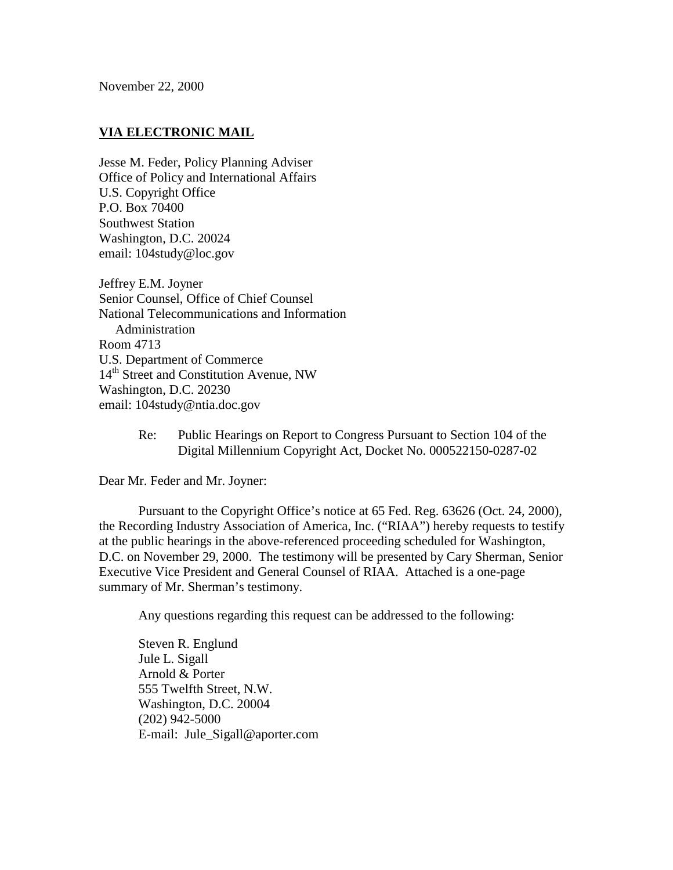November 22, 2000

## **VIA ELECTRONIC MAIL**

Jesse M. Feder, Policy Planning Adviser Office of Policy and International Affairs U.S. Copyright Office P.O. Box 70400 Southwest Station Washington, D.C. 20024 email: 104study@loc.gov

Jeffrey E.M. Joyner Senior Counsel, Office of Chief Counsel National Telecommunications and Information Administration Room 4713 U.S. Department of Commerce 14<sup>th</sup> Street and Constitution Avenue, NW Washington, D.C. 20230 email: 104study@ntia.doc.gov

> Re: Public Hearings on Report to Congress Pursuant to Section 104 of the Digital Millennium Copyright Act, Docket No. 000522150-0287-02

Dear Mr. Feder and Mr. Joyner:

Pursuant to the Copyright Office's notice at 65 Fed. Reg. 63626 (Oct. 24, 2000), the Recording Industry Association of America, Inc. ("RIAA") hereby requests to testify at the public hearings in the above-referenced proceeding scheduled for Washington, D.C. on November 29, 2000. The testimony will be presented by Cary Sherman, Senior Executive Vice President and General Counsel of RIAA. Attached is a one-page summary of Mr. Sherman's testimony.

Any questions regarding this request can be addressed to the following:

Steven R. Englund Jule L. Sigall Arnold & Porter 555 Twelfth Street, N.W. Washington, D.C. 20004 (202) 942-5000 E-mail: Jule\_Sigall@aporter.com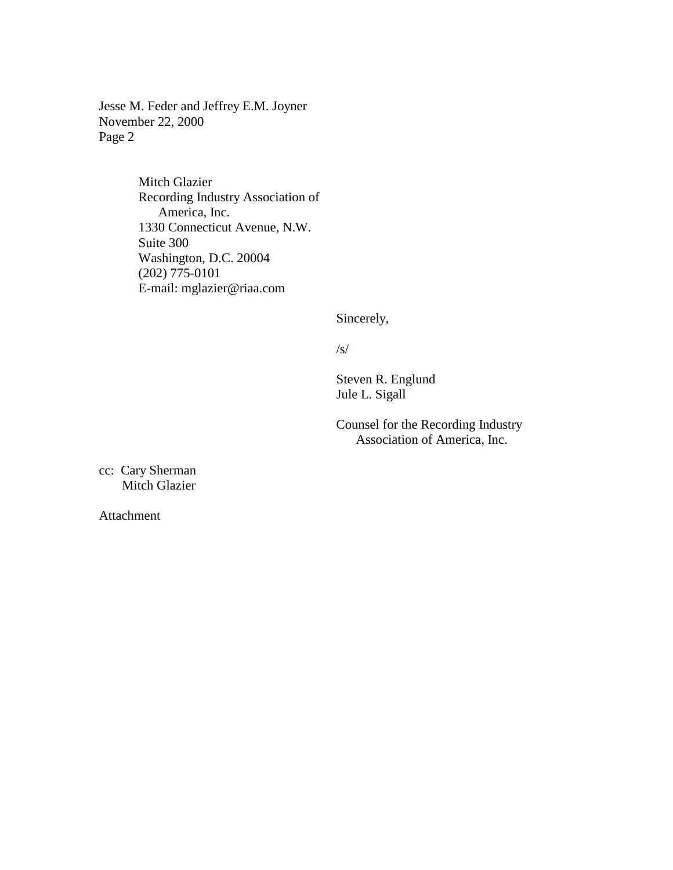Jesse M. Feder and Jeffrey E.M. Joyner November 22, 2000 Page 2

> Mitch Glazier Recording Industry Association of America, Inc. 1330 Connecticut Avenue, N.W. Suite 300 Washington, D.C. 20004 (202) 775-0101 E-mail: mglazier@riaa.com

> > Sincerely,

/s/

Steven R. Englund Jule L. Sigall

Counsel for the Recording Industry Association of America, Inc.

cc: Cary Sherman Mitch Glazier

Attachment